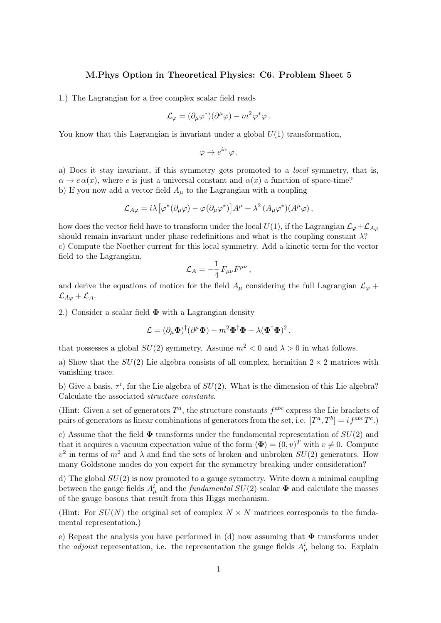## M.Phys Option in Theoretical Physics: C6. Problem Sheet 5

1.) The Lagrangian for a free complex scalar field reads

$$
\mathcal{L}_{\varphi} = (\partial_{\mu}\varphi^{\ast})(\partial^{\mu}\varphi) - m^{2}\varphi^{\ast}\varphi.
$$

You know that this Lagrangian is invariant under a global  $U(1)$  transformation,

$$
\varphi \to e^{i\alpha} \varphi \, .
$$

a) Does it stay invariant, if this symmetry gets promoted to a local symmetry, that is,  $\alpha \to e \alpha(x)$ , where e is just a universal constant and  $\alpha(x)$  a function of space-time? b) If you now add a vector field  $A_\mu$  to the Lagrangian with a coupling

$$
\mathcal{L}_{A\varphi} = i\lambda \left[ \varphi^* (\partial_\mu \varphi) - \varphi (\partial_\mu \varphi^*) \right] A^\mu + \lambda^2 (A_\mu \varphi^*) (A^\mu \varphi) \,,
$$

how does the vector field have to transform under the local  $U(1)$ , if the Lagrangian  $\mathcal{L}_{\varphi}+\mathcal{L}_{A\varphi}$ should remain invariant under phase redefinitions and what is the coupling constant  $\lambda$ ? c) Compute the Noether current for this local symmetry. Add a kinetic term for the vector field to the Lagrangian,

$$
\mathcal{L}_A = -\frac{1}{4} F_{\mu\nu} F^{\mu\nu} \,,
$$

and derive the equations of motion for the field  $A_\mu$  considering the full Lagrangian  $\mathcal{L}_{\varphi}$  +  $\mathcal{L}_{A\varphi} + \mathcal{L}_A$ .

2.) Consider a scalar field  $\Phi$  with a Lagrangian density

$$
\mathcal{L} = (\partial_{\mu} \mathbf{\Phi})^{\dagger} (\partial^{\mu} \mathbf{\Phi}) - m^2 \mathbf{\Phi}^{\dagger} \mathbf{\Phi} - \lambda (\mathbf{\Phi}^{\dagger} \mathbf{\Phi})^2 \,,
$$

that possesses a global  $SU(2)$  symmetry. Assume  $m^2 < 0$  and  $\lambda > 0$  in what follows.

a) Show that the  $SU(2)$  Lie algebra consists of all complex, hermitian  $2 \times 2$  matrices with vanishing trace.

b) Give a basis,  $\tau^i$ , for the Lie algebra of  $SU(2)$ . What is the dimension of this Lie algebra? Calculate the associated structure constants.

(Hint: Given a set of generators  $T^a$ , the structure constants  $f^{abc}$  express the Lie brackets of pairs of generators as linear combinations of generators from the set, i.e.  $[T^a, T^b] = i f^{abc} T^c$ .

c) Assume that the field  $\Phi$  transforms under the fundamental representation of  $SU(2)$  and that it acquires a vacuum expectation value of the form  $\langle \Phi \rangle = (0, v)^T$  with  $v \neq 0$ . Compute  $v^2$  in terms of  $m^2$  and  $\lambda$  and find the sets of broken and unbroken  $SU(2)$  generators. How many Goldstone modes do you expect for the symmetry breaking under consideration?

d) The global  $SU(2)$  is now promoted to a gauge symmetry. Write down a minimal coupling between the gauge fields  $A^i_\mu$  and the *fundamental*  $SU(2)$  scalar  $\Phi$  and calculate the masses of the gauge bosons that result from this Higgs mechanism.

(Hint: For  $SU(N)$ ) the original set of complex  $N \times N$  matrices corresponds to the fundamental representation.)

e) Repeat the analysis you have performed in (d) now assuming that  $\Phi$  transforms under the *adjoint* representation, i.e. the representation the gauge fields  $A^i_\mu$  belong to. Explain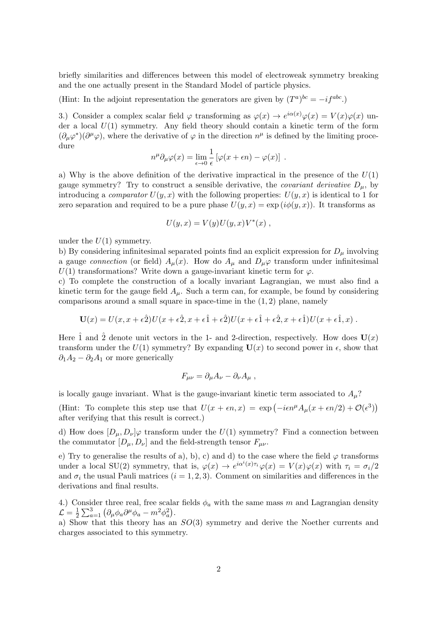briefly similarities and differences between this model of electroweak symmetry breaking and the one actually present in the Standard Model of particle physics.

(Hint: In the adjoint representation the generators are given by  $(T^a)^{bc} = -i f^{abc}$ .)

3.) Consider a complex scalar field  $\varphi$  transforming as  $\varphi(x) \to e^{i\alpha(x)} \varphi(x) = V(x) \varphi(x)$  under a local  $U(1)$  symmetry. Any field theory should contain a kinetic term of the form  $(\partial_\mu \varphi^*)(\partial^\mu \varphi)$ , where the derivative of  $\varphi$  in the direction  $n^\mu$  is defined by the limiting procedure

$$
n^{\mu} \partial_{\mu} \varphi(x) = \lim_{\epsilon \to 0} \frac{1}{\epsilon} \left[ \varphi(x + \epsilon n) - \varphi(x) \right] .
$$

a) Why is the above definition of the derivative impractical in the presence of the  $U(1)$ gauge symmetry? Try to construct a sensible derivative, the *covariant derivative*  $D_{\mu}$ , by introducing a *comparator*  $U(y, x)$  with the following properties:  $U(y, x)$  is identical to 1 for zero separation and required to be a pure phase  $U(y, x) = \exp(i\phi(y, x))$ . It transforms as

$$
U(y,x) = V(y)U(y,x)V^*(x) ,
$$

under the  $U(1)$  symmetry.

b) By considering infinitesimal separated points find an explicit expression for  $D_{\mu}$  involving a gauge connection (or field)  $A_\mu(x)$ . How do  $A_\mu$  and  $D_\mu\varphi$  transform under infinitesimal  $U(1)$  transformations? Write down a gauge-invariant kinetic term for  $\varphi$ .

c) To complete the construction of a locally invariant Lagrangian, we must also find a kinetic term for the gauge field  $A_\mu$ . Such a term can, for example, be found by considering comparisons around a small square in space-time in the  $(1, 2)$  plane, namely

$$
\mathbf{U}(x) = U(x, x + \epsilon \hat{2})U(x + \epsilon \hat{2}, x + \epsilon \hat{1} + \epsilon \hat{2})U(x + \epsilon \hat{1} + \epsilon \hat{2}, x + \epsilon \hat{1})U(x + \epsilon \hat{1}, x).
$$

Here 1 and 2 denote unit vectors in the 1- and 2-direction, respectively. How does  $U(x)$ transform under the  $U(1)$  symmetry? By expanding  $U(x)$  to second power in  $\epsilon$ , show that  $\partial_1 A_2 - \partial_2 A_1$  or more generically

$$
F_{\mu\nu} = \partial_{\mu}A_{\nu} - \partial_{\nu}A_{\mu} ,
$$

is locally gauge invariant. What is the gauge-invariant kinetic term associated to  $A_\mu$ ?

(Hint: To complete this step use that  $U(x + \epsilon n, x) = \exp(-i\epsilon n^{\mu} A_{\mu}(x + \epsilon n/2) + \mathcal{O}(\epsilon^3))$ after verifying that this result is correct.)

d) How does  $[D_\mu, D_\nu] \varphi$  transform under the  $U(1)$  symmetry? Find a connection between the commutator  $[D_\mu, D_\nu]$  and the field-strength tensor  $F_{\mu\nu}$ .

e) Try to generalise the results of a), b), c) and d) to the case where the field  $\varphi$  transforms under a local SU(2) symmetry, that is,  $\varphi(x) \to e^{i\alpha^i(x)\tau_i}\varphi(x) = V(x)\varphi(x)$  with  $\tau_i = \sigma_i/2$ and  $\sigma_i$  the usual Pauli matrices ( $i = 1, 2, 3$ ). Comment on similarities and differences in the derivations and final results.

4.) Consider three real, free scalar fields  $\phi_a$  with the same mass m and Lagrangian density  $\mathcal{L}=\frac{1}{2}$  $\frac{1}{2}\sum_{a=1}^{3} (\partial_{\mu}\phi_{a}\partial^{\mu}\phi_{a} - m^{2}\phi_{a}^{2}).$ 

a) Show that this theory has an  $SO(3)$  symmetry and derive the Noether currents and charges associated to this symmetry.